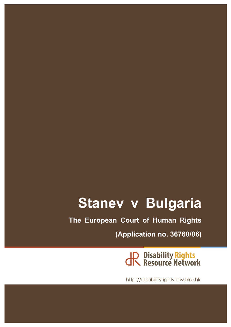# **Stanev v Bulgaria**

**The European Court of Human Rights**

**(Application no. 36760/06)**

JR Disability Rights<br>JR Resource Network

http://disabilityrights.law.hku.hk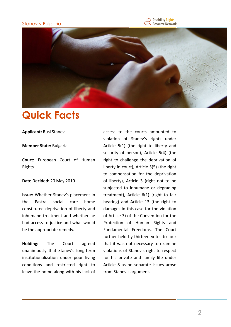### Stanev v Bulgaria





## **Quick Facts**

**Applicant: Rusi Stanev** 

#### **Member State:** Bulgaria

**Court:** European Court of Human Rights

#### Date Decided: 20 May 2010

**Issue:** Whether Stanev's placement in the Pastra social care home constituted deprivation of liberty and inhumane treatment and whether he had access to justice and what would be the appropriate remedy.

**Holding:** The Court agreed unanimously that Stanev's long-term institutionalization under poor living conditions and restricted right to leave the home along with his lack of access to the courts amounted to violation of Stanev's rights under Article  $5(1)$  (the right to liberty and security of person), Article 5(4) (the right to challenge the deprivation of liberty in court), Article  $5(5)$  (the right to compensation for the deprivation of liberty), Article 3 (right not to be subjected to inhumane or degrading treatment), Article  $6(1)$  (right to fair hearing) and Article 13 (the right to damages in this case for the violation of Article 3) of the Convention for the Protection of Human Rights and Fundamental Freedoms. The Court further held by thirteen votes to four that it was not necessary to examine violations of Stanev's right to respect for his private and family life under Article 8 as no separate issues arose from Stanev's argument.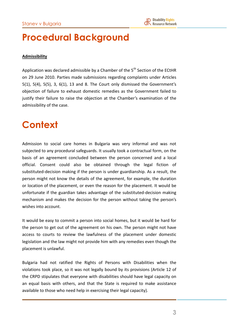### **Procedural Background**

#### **Admissibility**

Application was declared admissible by a Chamber of the  $5<sup>th</sup>$  Section of the ECtHR on 29 June 2010. Parties made submissions regarding complaints under Articles 5(1),  $5(4)$ ,  $5(5)$ ,  $3$ ,  $6(1)$ ,  $13$  and  $8$ . The Court only dismissed the Government's objection of failure to exhaust domestic remedies as the Government failed to justify their failure to raise the objection at the Chamber's examination of the admissibility of the case.

### **Context**

Admission to social care homes in Bulgaria was very informal and was not subjected to any procedural safeguards. It usually took a contractual form, on the basis of an agreement concluded between the person concerned and a local official. Consent could also be obtained through the legal fiction of substituted-decision making if the person is under guardianship. As a result, the person might not know the details of the agreement, for example, the duration or location of the placement, or even the reason for the placement. It would be unfortunate if the guardian takes advantage of the substituted-decision making mechanism and makes the decision for the person without taking the person's wishes into account.

It would be easy to commit a person into social homes, but it would be hard for the person to get out of the agreement on his own. The person might not have access to courts to review the lawfulness of the placement under domestic legislation and the law might not provide him with any remedies even though the placement is unlawful.

Bulgaria had not ratified the Rights of Persons with Disabilities when the violations took place, so it was not legally bound by its provisions (Article 12 of the CRPD stipulates that everyone with disabilities should have legal capacity on an equal basis with others, and that the State is required to make assistance available to those who need help in exercising their legal capacity).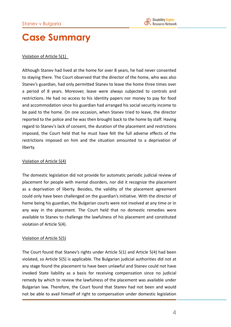### **Case Summary**

### Violation of Article 5(1)

Although Stanev had lived at the home for over 8 years, he had never consented to staying there. The Court observed that the director of the home, who was also Stanev's guardian, had only permitted Stanev to leave the home three times over a period of 8 years. Moreover, leave were always subjected to controls and restrictions. He had no access to his identity papers nor money to pay for food and accommodation since his guardian had arranged his social security income to be paid to the home. On one occasion, when Stanev tried to leave, the director reported to the police and he was then brought back to the home by staff. Having regard to Stanev's lack of consent, the duration of the placement and restrictions imposed, the Court held that he must have felt the full adverse effects of the restrictions imposed on him and the situation amounted to a deprivation of liberty.

### Violation of Article 5(4)

The domestic legislation did not provide for automatic periodic judicial review of placement for people with mental disorders, nor did it recognize the placement as a deprivation of liberty. Besides, the validity of the placement agreement could only have been challenged on the guardian's initiative. With the director of home being his guardian, the Bulgarian courts were not involved at any time or in any way in the placement. The Court held that no domestic remedies were available to Stanev to challenge the lawfulness of his placement and constituted violation of Article 5(4).

### Violation of Article 5(5)

The Court found that Stanev's rights under Article  $5(1)$  and Article  $5(4)$  had been violated, so Article 5(5) is applicable. The Bulgarian judicial authorities did not at any stage found the placement to have been unlawful and Stanev could not have invoked State liability as a basis for receiving compensation since no judicial remedy by which to review the lawfulness of the placement was available under Bulgarian law. Therefore, the Court found that Stanev had not been and would not be able to avail himself of right to compensation under domestic legislation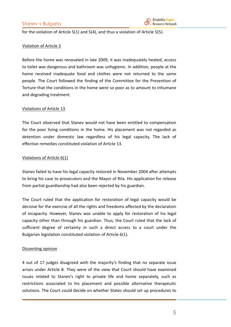for the violation of Article  $5(1)$  and  $5(4)$ , and thus a violation of Article  $5(5)$ .

#### Violation of Article 3

Before the home was renovated in late 2009, it was inadequately heated, access to toilet was dangerous and bathroom was unhygienic. In addition, people at the home received inadequate food and clothes were not returned to the same people. The Court followed the finding of the Committee for the Prevention of Torture that the conditions in the home were so poor as to amount to inhumane and degrading treatment.

#### Violations of Article 13

The Court observed that Stanev would not have been entitled to compensation for the poor living conditions in the home. His placement was not regarded as detention under domestic law regardless of his legal capacity. The lack of effective remedies constituted violation of Article 13.

#### Violations of Article 6(1)

Stanev failed to have his legal capacity restored in November 2004 after attempts to bring his case to prosecutors and the Mayor of Rila. His application for release from partial guardianship had also been rejected by his guardian.

The Court ruled that the application for restoration of legal capacity would be decisive for the exercise of all the rights and freedoms affected by the declaration of incapacity. However, Stanev was unable to apply for restoration of his legal capacity other than through his guardian. Thus, the Court ruled that the lack of sufficient degree of certainty in such a direct access to a court under the Bulgarian legislation constituted violation of Article 6(1).

#### Dissenting opinion

4 out of 17 judges disagreed with the majority's finding that no separate issue arises under Article 8. They were of the view that Court should have examined issues related to Stanev's right to private life and home separately, such as restrictions associated to his placement and possible alternative therapeutic solutions. The Court could decide on whether States should set up procedures to